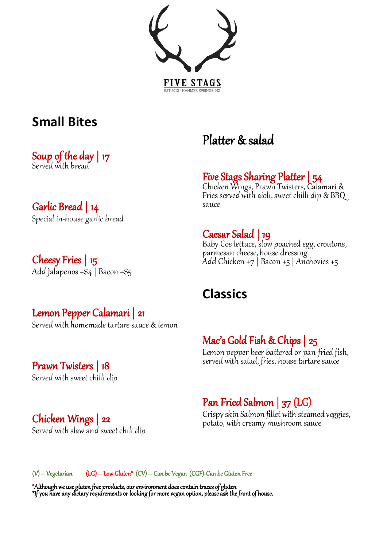

### **Small Bites**

Soup of the day | 17 Served with bread

## **Garlic Bread | 14**<br>Special in-house garlic bread

**Cheesy Fries | 15**<br>Add Jalapenos +\$4 | Bacon +\$5

### $\overline{a}$ Platter & salad

### l, Five Stags Sharing Platter | 54 Chicken Wings, Prawn Twisters, Calamari &

Fries served with aioli, sweet chilli dip & BBQ sauce

## l.

Caesar Salad | 19<br>Baby Cos lettuce, slow poached egg, croutons, parmesan cheese, house dressing. Add Chicken +7 | Bacon +5 | Anchovies +5

### **Classics**

M**ac's Gold Fish & Chips | 25**<br>Lemon pepper beer battered or pan-fried fish,<br>served with salad, fries, house tartare sauce

### **Lemon Pepper Calamari | 21**<br>Served with homemade tartare sauce & lemon

## **Prawn Twisters | 18**<br>Served with sweet chilli dip

## **Chicken Wings | 22**<br>Served with slaw and sweet chili dip

## **Pan Fried Salmon | 37 (LG)**<br>Crispy skin Salmon fillet with steamed veggies,

potato, with creamy mushroom sauce

j  $(V)$  – Vegetarian (LG) – Low Gluten<sup>\*</sup>  $(CV)$  – Can be Vegan (CGF)-Can be Gluten Free

\*Although we use gluten free products, our environment does contain traces of gluten \*If you have any dietary requirements or looking for more vegan option, please ask the front of house.